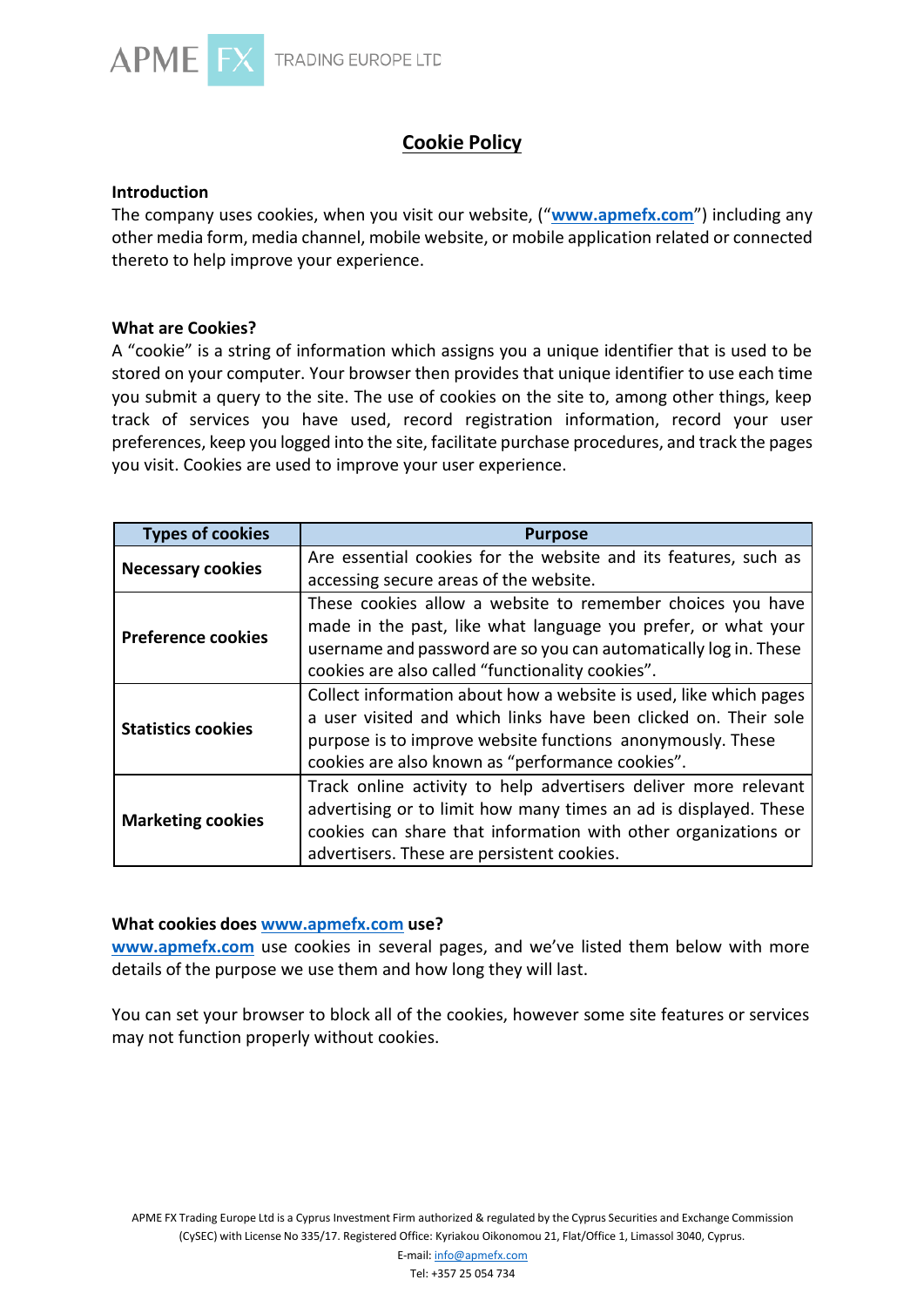

# **Cookie Policy**

### **Introduction**

The company uses cookies, when you visit our website, ("**[www.apmefx.com](https://www.apmefx.com/)**") including any other media form, media channel, mobile website, or mobile application related or connected thereto to help improve your experience.

#### **What are Cookies?**

A "cookie" is a string of information which assigns you a unique identifier that is used to be stored on your computer. Your browser then provides that unique identifier to use each time you submit a query to the site. The use of cookies on the site to, among other things, keep track of services you have used, record registration information, record your user preferences, keep you logged into the site, facilitate purchase procedures, and track the pages you visit. Cookies are used to improve your user experience.

| <b>Types of cookies</b>   | <b>Purpose</b>                                                    |  |  |
|---------------------------|-------------------------------------------------------------------|--|--|
| <b>Necessary cookies</b>  | Are essential cookies for the website and its features, such as   |  |  |
|                           | accessing secure areas of the website.                            |  |  |
| <b>Preference cookies</b> | These cookies allow a website to remember choices you have        |  |  |
|                           | made in the past, like what language you prefer, or what your     |  |  |
|                           | username and password are so you can automatically log in. These  |  |  |
|                           | cookies are also called "functionality cookies".                  |  |  |
| <b>Statistics cookies</b> | Collect information about how a website is used, like which pages |  |  |
|                           | a user visited and which links have been clicked on. Their sole   |  |  |
|                           | purpose is to improve website functions anonymously. These        |  |  |
|                           | cookies are also known as "performance cookies".                  |  |  |
| <b>Marketing cookies</b>  | Track online activity to help advertisers deliver more relevant   |  |  |
|                           | advertising or to limit how many times an ad is displayed. These  |  |  |
|                           | cookies can share that information with other organizations or    |  |  |
|                           | advertisers. These are persistent cookies.                        |  |  |

#### **What cookies does [www.apmefx.com](http://www.apmefx.com/) use?**

**[www.apmefx.com](https://www.apmefx.com/)** use cookies in several pages, and we've listed them below with more details of the purpose we use them and how long they will last.

You can set your browser to block all of the cookies, however some site features or services may not function properly without cookies.

APME FX Trading Europe Ltd is a Cyprus Investment Firm authorized & regulated by the Cyprus Securities and Exchange Commission (CySEC) with License No 335/17. Registered Office: Kyriakou Oikonomou 21, Flat/Office 1, Limassol 3040, Cyprus.

E-mail[: info@apmefx.com](mailto:info@apmefx.com)

Tel: +357 25 054 734